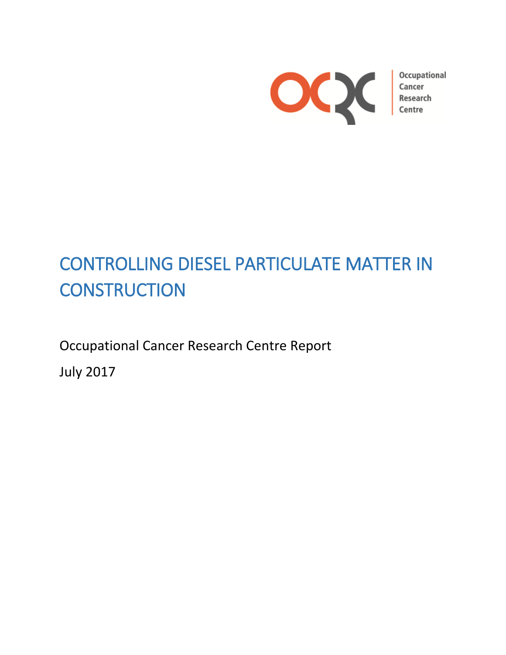

Occupational

# CONTROLLING DIESEL PARTICULATE MATTER IN **CONSTRUCTION**

Occupational Cancer Research Centre Report

July 2017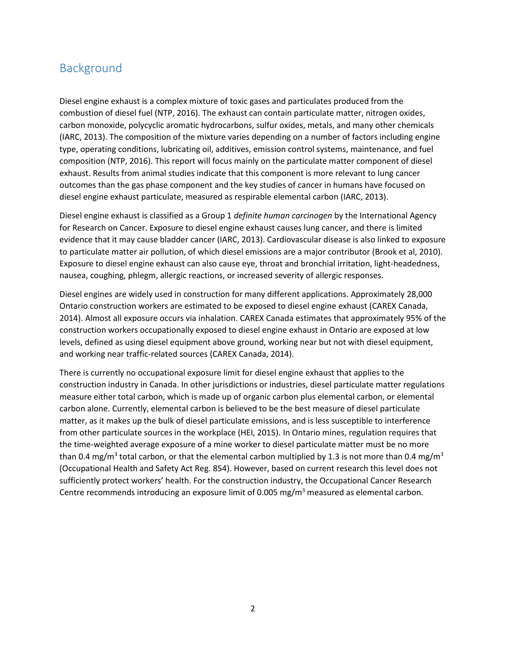# Background

Diesel engine exhaust is a complex mixture of toxic gases and particulates produced from the combustion of diesel fuel (NTP, 2016). The exhaust can contain particulate matter, nitrogen oxides, carbon monoxide, polycyclic aromatic hydrocarbons, sulfur oxides, metals, and many other chemicals (IARC, 2013). The composition of the mixture varies depending on a number of factors including engine type, operating conditions, lubricating oil, additives, emission control systems, maintenance, and fuel composition (NTP, 2016). This report will focus mainly on the particulate matter component of diesel exhaust. Results from animal studies indicate that this component is more relevant to lung cancer outcomes than the gas phase component and the key studies of cancer in humans have focused on diesel engine exhaust particulate, measured as respirable elemental carbon (IARC, 2013).

Diesel engine exhaust is classified as a Group 1 *definite human carcinogen* by the International Agency for Research on Cancer. Exposure to diesel engine exhaust causes lung cancer, and there is limited evidence that it may cause bladder cancer (IARC, 2013). Cardiovascular disease is also linked to exposure to particulate matter air pollution, of which diesel emissions are a major contributor (Brook et al, 2010). Exposure to diesel engine exhaust can also cause eye, throat and bronchial irritation, light-headedness, nausea, coughing, phlegm, allergic reactions, or increased severity of allergic responses.

Diesel engines are widely used in construction for many different applications. Approximately 28,000 Ontario construction workers are estimated to be exposed to diesel engine exhaust (CAREX Canada, 2014). Almost all exposure occurs via inhalation. CAREX Canada estimates that approximately 95% of the construction workers occupationally exposed to diesel engine exhaust in Ontario are exposed at low levels, defined as using diesel equipment above ground, working near but not with diesel equipment, and working near traffic-related sources (CAREX Canada, 2014).

There is currently no occupational exposure limit for diesel engine exhaust that applies to the construction industry in Canada. In other jurisdictions or industries, diesel particulate matter regulations measure either total carbon, which is made up of organic carbon plus elemental carbon, or elemental carbon alone. Currently, elemental carbon is believed to be the best measure of diesel particulate matter, as it makes up the bulk of diesel particulate emissions, and is less susceptible to interference from other particulate sources in the workplace (HEI, 2015). In Ontario mines, regulation requires that the time-weighted average exposure of a mine worker to diesel particulate matter must be no more than 0.4 mg/m<sup>3</sup> total carbon, or that the elemental carbon multiplied by 1.3 is not more than 0.4 mg/m<sup>3</sup> (Occupational Health and Safety Act Reg. 854). However, based on current research this level does not sufficiently protect workers' health. For the construction industry, the Occupational Cancer Research Centre recommends introducing an exposure limit of 0.005 mg/m<sup>3</sup> measured as elemental carbon.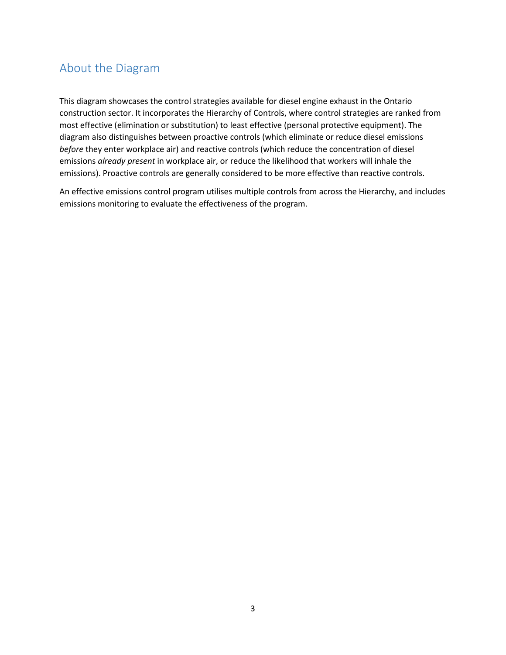# About the Diagram

This diagram showcases the control strategies available for diesel engine exhaust in the Ontario construction sector. It incorporates the Hierarchy of Controls, where control strategies are ranked from most effective (elimination or substitution) to least effective (personal protective equipment). The diagram also distinguishes between proactive controls (which eliminate or reduce diesel emissions *before* they enter workplace air) and reactive controls (which reduce the concentration of diesel emissions *already present* in workplace air, or reduce the likelihood that workers will inhale the emissions). Proactive controls are generally considered to be more effective than reactive controls.

An effective emissions control program utilises multiple controls from across the Hierarchy, and includes emissions monitoring to evaluate the effectiveness of the program.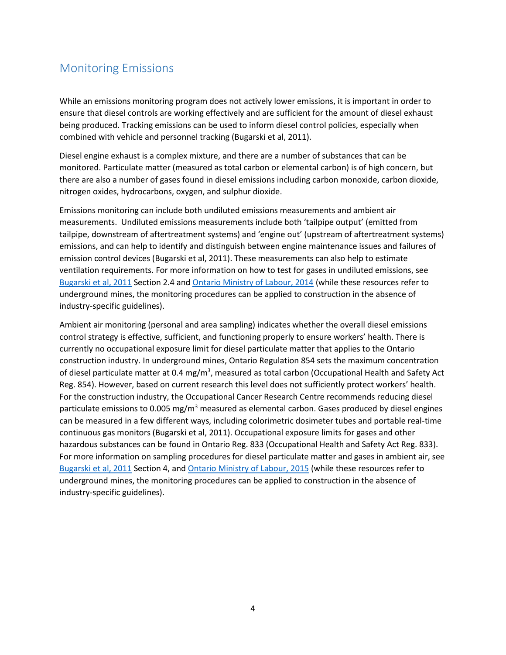# Monitoring Emissions

While an emissions monitoring program does not actively lower emissions, it is important in order to ensure that diesel controls are working effectively and are sufficient for the amount of diesel exhaust being produced. Tracking emissions can be used to inform diesel control policies, especially when combined with vehicle and personnel tracking (Bugarski et al, 2011).

Diesel engine exhaust is a complex mixture, and there are a number of substances that can be monitored. Particulate matter (measured as total carbon or elemental carbon) is of high concern, but there are also a number of gases found in diesel emissions including carbon monoxide, carbon dioxide, nitrogen oxides, hydrocarbons, oxygen, and sulphur dioxide.

Emissions monitoring can include both undiluted emissions measurements and ambient air measurements. Undiluted emissions measurements include both 'tailpipe output' (emitted from tailpipe, downstream of aftertreatment systems) and 'engine out' (upstream of aftertreatment systems) emissions, and can help to identify and distinguish between engine maintenance issues and failures of emission control devices (Bugarski et al, 2011). These measurements can also help to estimate ventilation requirements. For more information on how to test for gases in undiluted emissions, see [Bugarski et al,](https://www.cdc.gov/niosh/mining/UserFiles/works/pdfs/2012-101.pdf) 2011 Section 2.4 and [Ontario Ministry of Labour, 2014](https://www.labour.gov.on.ca/english/hs/pubs/gl_exhaust_testing.php) (while these resources refer to underground mines, the monitoring procedures can be applied to construction in the absence of industry-specific guidelines).

Ambient air monitoring (personal and area sampling) indicates whether the overall diesel emissions control strategy is effective, sufficient, and functioning properly to ensure workers' health. There is currently no occupational exposure limit for diesel particulate matter that applies to the Ontario construction industry. In underground mines, Ontario Regulation 854 sets the maximum concentration of diesel particulate matter at 0.4 mg/m<sup>3</sup>, measured as total carbon (Occupational Health and Safety Act Reg. 854). However, based on current research this level does not sufficiently protect workers' health. For the construction industry, the Occupational Cancer Research Centre recommends reducing diesel particulate emissions to 0.005 mg/ $m<sup>3</sup>$  measured as elemental carbon. Gases produced by diesel engines can be measured in a few different ways, including colorimetric dosimeter tubes and portable real-time continuous gas monitors (Bugarski et al, 2011). Occupational exposure limits for gases and other hazardous substances can be found in Ontario Reg. 833 (Occupational Health and Safety Act Reg. 833). For more information on sampling procedures for diesel particulate matter and gases in ambient air, see [Bugarski et al, 2011](https://www.cdc.gov/niosh/mining/UserFiles/works/pdfs/2012-101.pdf) Section 4, an[d Ontario Ministry of Labour, 2015](https://www.labour.gov.on.ca/english/hs/pubs/gl_dparticulate.php) (while these resources refer to underground mines, the monitoring procedures can be applied to construction in the absence of industry-specific guidelines).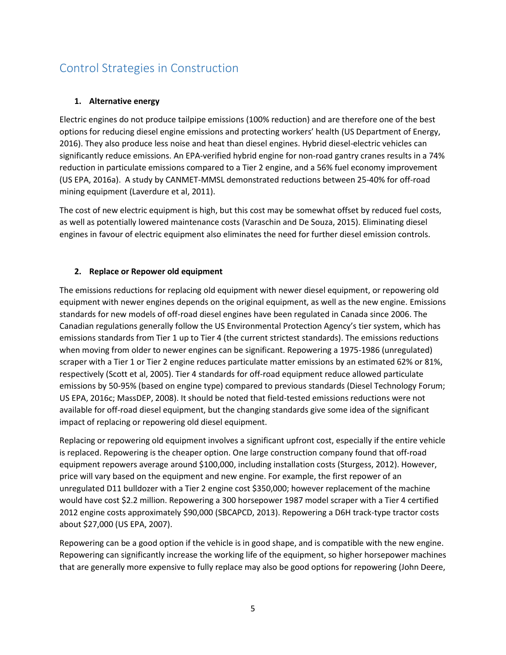# Control Strategies in Construction

# **1. Alternative energy**

Electric engines do not produce tailpipe emissions (100% reduction) and are therefore one of the best options for reducing diesel engine emissions and protecting workers' health (US Department of Energy, 2016). They also produce less noise and heat than diesel engines. Hybrid diesel-electric vehicles can significantly reduce emissions. An EPA-verified hybrid engine for non-road gantry cranes results in a 74% reduction in particulate emissions compared to a Tier 2 engine, and a 56% fuel economy improvement (US EPA, 2016a). A study by CANMET-MMSL demonstrated reductions between 25-40% for off-road mining equipment (Laverdure et al, 2011).

The cost of new electric equipment is high, but this cost may be somewhat offset by reduced fuel costs, as well as potentially lowered maintenance costs (Varaschin and De Souza, 2015). Eliminating diesel engines in favour of electric equipment also eliminates the need for further diesel emission controls.

### **2. Replace or Repower old equipment**

The emissions reductions for replacing old equipment with newer diesel equipment, or repowering old equipment with newer engines depends on the original equipment, as well as the new engine. Emissions standards for new models of off-road diesel engines have been regulated in Canada since 2006. The Canadian regulations generally follow the US Environmental Protection Agency's tier system, which has emissions standards from Tier 1 up to Tier 4 (the current strictest standards). The emissions reductions when moving from older to newer engines can be significant. Repowering a 1975-1986 (unregulated) scraper with a Tier 1 or Tier 2 engine reduces particulate matter emissions by an estimated 62% or 81%, respectively (Scott et al, 2005). Tier 4 standards for off-road equipment reduce allowed particulate emissions by 50-95% (based on engine type) compared to previous standards (Diesel Technology Forum; US EPA, 2016c; MassDEP, 2008). It should be noted that field-tested emissions reductions were not available for off-road diesel equipment, but the changing standards give some idea of the significant impact of replacing or repowering old diesel equipment.

Replacing or repowering old equipment involves a significant upfront cost, especially if the entire vehicle is replaced. Repowering is the cheaper option. One large construction company found that off-road equipment repowers average around \$100,000, including installation costs (Sturgess, 2012). However, price will vary based on the equipment and new engine. For example, the first repower of an unregulated D11 bulldozer with a Tier 2 engine cost \$350,000; however replacement of the machine would have cost \$2.2 million. Repowering a 300 horsepower 1987 model scraper with a Tier 4 certified 2012 engine costs approximately \$90,000 (SBCAPCD, 2013). Repowering a D6H track-type tractor costs about \$27,000 (US EPA, 2007).

Repowering can be a good option if the vehicle is in good shape, and is compatible with the new engine. Repowering can significantly increase the working life of the equipment, so higher horsepower machines that are generally more expensive to fully replace may also be good options for repowering (John Deere,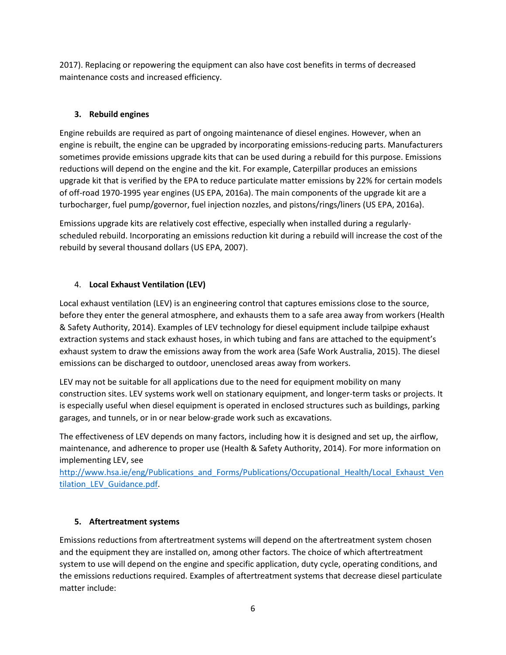2017). Replacing or repowering the equipment can also have cost benefits in terms of decreased maintenance costs and increased efficiency.

# **3. Rebuild engines**

Engine rebuilds are required as part of ongoing maintenance of diesel engines. However, when an engine is rebuilt, the engine can be upgraded by incorporating emissions-reducing parts. Manufacturers sometimes provide emissions upgrade kits that can be used during a rebuild for this purpose. Emissions reductions will depend on the engine and the kit. For example, Caterpillar produces an emissions upgrade kit that is verified by the EPA to reduce particulate matter emissions by 22% for certain models of off-road 1970-1995 year engines (US EPA, 2016a). The main components of the upgrade kit are a turbocharger, fuel pump/governor, fuel injection nozzles, and pistons/rings/liners (US EPA, 2016a).

Emissions upgrade kits are relatively cost effective, especially when installed during a regularlyscheduled rebuild. Incorporating an emissions reduction kit during a rebuild will increase the cost of the rebuild by several thousand dollars (US EPA, 2007).

# 4. **Local Exhaust Ventilation (LEV)**

Local exhaust ventilation (LEV) is an engineering control that captures emissions close to the source, before they enter the general atmosphere, and exhausts them to a safe area away from workers (Health & Safety Authority, 2014). Examples of LEV technology for diesel equipment include tailpipe exhaust extraction systems and stack exhaust hoses, in which tubing and fans are attached to the equipment's exhaust system to draw the emissions away from the work area (Safe Work Australia, 2015). The diesel emissions can be discharged to outdoor, unenclosed areas away from workers.

LEV may not be suitable for all applications due to the need for equipment mobility on many construction sites. LEV systems work well on stationary equipment, and longer-term tasks or projects. It is especially useful when diesel equipment is operated in enclosed structures such as buildings, parking garages, and tunnels, or in or near below-grade work such as excavations.

The effectiveness of LEV depends on many factors, including how it is designed and set up, the airflow, maintenance, and adherence to proper use (Health & Safety Authority, 2014). For more information on implementing LEV, see

[http://www.hsa.ie/eng/Publications\\_and\\_Forms/Publications/Occupational\\_Health/Local\\_Exhaust\\_Ven](http://www.hsa.ie/eng/Publications_and_Forms/Publications/Occupational_Health/Local_Exhaust_Ventilation_LEV_Guidance.pdf) [tilation\\_LEV\\_Guidance.pdf.](http://www.hsa.ie/eng/Publications_and_Forms/Publications/Occupational_Health/Local_Exhaust_Ventilation_LEV_Guidance.pdf)

# **5. Aftertreatment systems**

Emissions reductions from aftertreatment systems will depend on the aftertreatment system chosen and the equipment they are installed on, among other factors. The choice of which aftertreatment system to use will depend on the engine and specific application, duty cycle, operating conditions, and the emissions reductions required. Examples of aftertreatment systems that decrease diesel particulate matter include: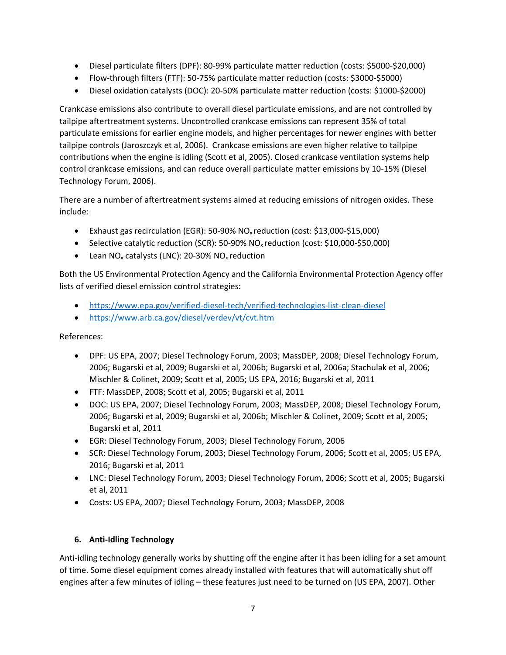- Diesel particulate filters (DPF): 80-99% particulate matter reduction (costs: \$5000-\$20,000)
- Flow-through filters (FTF): 50-75% particulate matter reduction (costs: \$3000-\$5000)
- Diesel oxidation catalysts (DOC): 20-50% particulate matter reduction (costs: \$1000-\$2000)

Crankcase emissions also contribute to overall diesel particulate emissions, and are not controlled by tailpipe aftertreatment systems. Uncontrolled crankcase emissions can represent 35% of total particulate emissions for earlier engine models, and higher percentages for newer engines with better tailpipe controls (Jaroszczyk et al, 2006). Crankcase emissions are even higher relative to tailpipe contributions when the engine is idling (Scott et al, 2005). Closed crankcase ventilation systems help control crankcase emissions, and can reduce overall particulate matter emissions by 10-15% (Diesel Technology Forum, 2006).

There are a number of aftertreatment systems aimed at reducing emissions of nitrogen oxides. These include:

- Exhaust gas recirculation (EGR): 50-90% NO<sup>x</sup> reduction (cost: \$13,000-\$15,000)
- $\bullet$  Selective catalytic reduction (SCR): 50-90% NO<sub>x</sub> reduction (cost: \$10,000-\$50,000)
- **•** Lean NO<sub>x</sub> catalysts (LNC): 20-30% NO<sub>x</sub> reduction

Both the US Environmental Protection Agency and the California Environmental Protection Agency offer lists of verified diesel emission control strategies:

- <https://www.epa.gov/verified-diesel-tech/verified-technologies-list-clean-diesel>
- <https://www.arb.ca.gov/diesel/verdev/vt/cvt.htm>

References:

- DPF: US EPA, 2007; Diesel Technology Forum, 2003; MassDEP, 2008; Diesel Technology Forum, 2006; Bugarski et al, 2009; Bugarski et al, 2006b; Bugarski et al, 2006a; Stachulak et al, 2006; Mischler & Colinet, 2009; Scott et al, 2005; US EPA, 2016; Bugarski et al, 2011
- FTF: MassDEP, 2008; Scott et al, 2005; Bugarski et al, 2011
- DOC: US EPA, 2007; Diesel Technology Forum, 2003; MassDEP, 2008; Diesel Technology Forum, 2006; Bugarski et al, 2009; Bugarski et al, 2006b; Mischler & Colinet, 2009; Scott et al, 2005; Bugarski et al, 2011
- EGR: Diesel Technology Forum, 2003; Diesel Technology Forum, 2006
- **SCR: Diesel Technology Forum, 2003; Diesel Technology Forum, 2006; Scott et al, 2005; US EPA,** 2016; Bugarski et al, 2011
- LNC: Diesel Technology Forum, 2003; Diesel Technology Forum, 2006; Scott et al, 2005; Bugarski et al, 2011
- Costs: US EPA, 2007; Diesel Technology Forum, 2003; MassDEP, 2008

# **6. Anti-Idling Technology**

Anti-idling technology generally works by shutting off the engine after it has been idling for a set amount of time. Some diesel equipment comes already installed with features that will automatically shut off engines after a few minutes of idling – these features just need to be turned on (US EPA, 2007). Other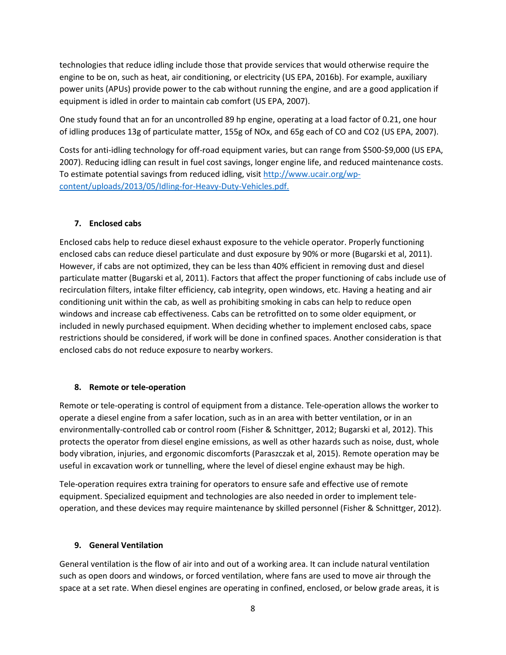technologies that reduce idling include those that provide services that would otherwise require the engine to be on, such as heat, air conditioning, or electricity (US EPA, 2016b). For example, auxiliary power units (APUs) provide power to the cab without running the engine, and are a good application if equipment is idled in order to maintain cab comfort (US EPA, 2007).

One study found that an for an uncontrolled 89 hp engine, operating at a load factor of 0.21, one hour of idling produces 13g of particulate matter, 155g of NOx, and 65g each of CO and CO2 (US EPA, 2007).

Costs for anti-idling technology for off-road equipment varies, but can range from \$500-\$9,000 (US EPA, 2007). Reducing idling can result in fuel cost savings, longer engine life, and reduced maintenance costs. To estimate potential savings from reduced idling, visi[t http://www.ucair.org/wp](http://www.ucair.org/wp-content/uploads/2013/05/Idling-for-Heavy-Duty-Vehicles.pdf)[content/uploads/2013/05/Idling-for-Heavy-Duty-Vehicles.pdf.](http://www.ucair.org/wp-content/uploads/2013/05/Idling-for-Heavy-Duty-Vehicles.pdf)

### **7. Enclosed cabs**

Enclosed cabs help to reduce diesel exhaust exposure to the vehicle operator. Properly functioning enclosed cabs can reduce diesel particulate and dust exposure by 90% or more (Bugarski et al, 2011). However, if cabs are not optimized, they can be less than 40% efficient in removing dust and diesel particulate matter (Bugarski et al, 2011). Factors that affect the proper functioning of cabs include use of recirculation filters, intake filter efficiency, cab integrity, open windows, etc. Having a heating and air conditioning unit within the cab, as well as prohibiting smoking in cabs can help to reduce open windows and increase cab effectiveness. Cabs can be retrofitted on to some older equipment, or included in newly purchased equipment. When deciding whether to implement enclosed cabs, space restrictions should be considered, if work will be done in confined spaces. Another consideration is that enclosed cabs do not reduce exposure to nearby workers.

#### **8. Remote or tele-operation**

Remote or tele-operating is control of equipment from a distance. Tele-operation allows the worker to operate a diesel engine from a safer location, such as in an area with better ventilation, or in an environmentally-controlled cab or control room (Fisher & Schnittger, 2012; Bugarski et al, 2012). This protects the operator from diesel engine emissions, as well as other hazards such as noise, dust, whole body vibration, injuries, and ergonomic discomforts (Paraszczak et al, 2015). Remote operation may be useful in excavation work or tunnelling, where the level of diesel engine exhaust may be high.

Tele-operation requires extra training for operators to ensure safe and effective use of remote equipment. Specialized equipment and technologies are also needed in order to implement teleoperation, and these devices may require maintenance by skilled personnel (Fisher & Schnittger, 2012).

# **9. General Ventilation**

General ventilation is the flow of air into and out of a working area. It can include natural ventilation such as open doors and windows, or forced ventilation, where fans are used to move air through the space at a set rate. When diesel engines are operating in confined, enclosed, or below grade areas, it is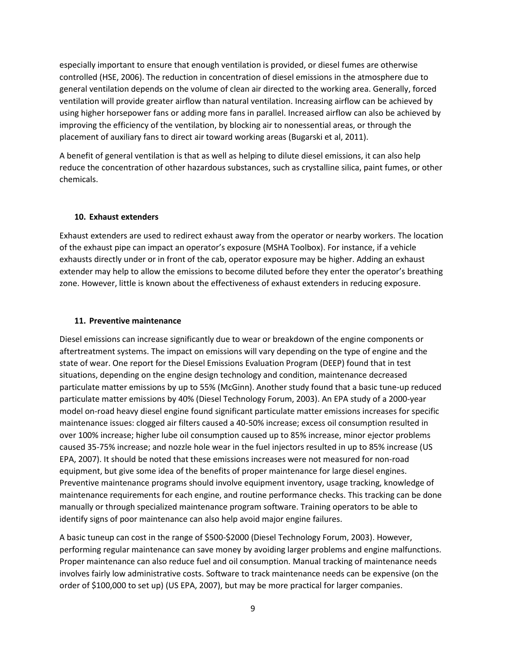especially important to ensure that enough ventilation is provided, or diesel fumes are otherwise controlled (HSE, 2006). The reduction in concentration of diesel emissions in the atmosphere due to general ventilation depends on the volume of clean air directed to the working area. Generally, forced ventilation will provide greater airflow than natural ventilation. Increasing airflow can be achieved by using higher horsepower fans or adding more fans in parallel. Increased airflow can also be achieved by improving the efficiency of the ventilation, by blocking air to nonessential areas, or through the placement of auxiliary fans to direct air toward working areas (Bugarski et al, 2011).

A benefit of general ventilation is that as well as helping to dilute diesel emissions, it can also help reduce the concentration of other hazardous substances, such as crystalline silica, paint fumes, or other chemicals.

#### **10. Exhaust extenders**

Exhaust extenders are used to redirect exhaust away from the operator or nearby workers. The location of the exhaust pipe can impact an operator's exposure (MSHA Toolbox). For instance, if a vehicle exhausts directly under or in front of the cab, operator exposure may be higher. Adding an exhaust extender may help to allow the emissions to become diluted before they enter the operator's breathing zone. However, little is known about the effectiveness of exhaust extenders in reducing exposure.

#### **11. Preventive maintenance**

Diesel emissions can increase significantly due to wear or breakdown of the engine components or aftertreatment systems. The impact on emissions will vary depending on the type of engine and the state of wear. One report for the Diesel Emissions Evaluation Program (DEEP) found that in test situations, depending on the engine design technology and condition, maintenance decreased particulate matter emissions by up to 55% (McGinn). Another study found that a basic tune-up reduced particulate matter emissions by 40% (Diesel Technology Forum, 2003). An EPA study of a 2000-year model on-road heavy diesel engine found significant particulate matter emissions increases for specific maintenance issues: clogged air filters caused a 40-50% increase; excess oil consumption resulted in over 100% increase; higher lube oil consumption caused up to 85% increase, minor ejector problems caused 35-75% increase; and nozzle hole wear in the fuel injectors resulted in up to 85% increase (US EPA, 2007). It should be noted that these emissions increases were not measured for non-road equipment, but give some idea of the benefits of proper maintenance for large diesel engines. Preventive maintenance programs should involve equipment inventory, usage tracking, knowledge of maintenance requirements for each engine, and routine performance checks. This tracking can be done manually or through specialized maintenance program software. Training operators to be able to identify signs of poor maintenance can also help avoid major engine failures.

A basic tuneup can cost in the range of \$500-\$2000 (Diesel Technology Forum, 2003). However, performing regular maintenance can save money by avoiding larger problems and engine malfunctions. Proper maintenance can also reduce fuel and oil consumption. Manual tracking of maintenance needs involves fairly low administrative costs. Software to track maintenance needs can be expensive (on the order of \$100,000 to set up) (US EPA, 2007), but may be more practical for larger companies.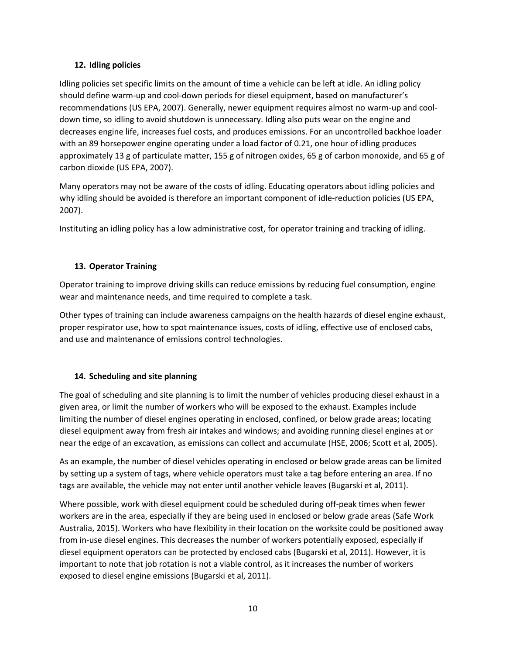### **12. Idling policies**

Idling policies set specific limits on the amount of time a vehicle can be left at idle. An idling policy should define warm-up and cool-down periods for diesel equipment, based on manufacturer's recommendations (US EPA, 2007). Generally, newer equipment requires almost no warm-up and cooldown time, so idling to avoid shutdown is unnecessary. Idling also puts wear on the engine and decreases engine life, increases fuel costs, and produces emissions. For an uncontrolled backhoe loader with an 89 horsepower engine operating under a load factor of 0.21, one hour of idling produces approximately 13 g of particulate matter, 155 g of nitrogen oxides, 65 g of carbon monoxide, and 65 g of carbon dioxide (US EPA, 2007).

Many operators may not be aware of the costs of idling. Educating operators about idling policies and why idling should be avoided is therefore an important component of idle-reduction policies (US EPA, 2007).

Instituting an idling policy has a low administrative cost, for operator training and tracking of idling.

# **13. Operator Training**

Operator training to improve driving skills can reduce emissions by reducing fuel consumption, engine wear and maintenance needs, and time required to complete a task.

Other types of training can include awareness campaigns on the health hazards of diesel engine exhaust, proper respirator use, how to spot maintenance issues, costs of idling, effective use of enclosed cabs, and use and maintenance of emissions control technologies.

# **14. Scheduling and site planning**

The goal of scheduling and site planning is to limit the number of vehicles producing diesel exhaust in a given area, or limit the number of workers who will be exposed to the exhaust. Examples include limiting the number of diesel engines operating in enclosed, confined, or below grade areas; locating diesel equipment away from fresh air intakes and windows; and avoiding running diesel engines at or near the edge of an excavation, as emissions can collect and accumulate (HSE, 2006; Scott et al, 2005).

As an example, the number of diesel vehicles operating in enclosed or below grade areas can be limited by setting up a system of tags, where vehicle operators must take a tag before entering an area. If no tags are available, the vehicle may not enter until another vehicle leaves (Bugarski et al, 2011).

Where possible, work with diesel equipment could be scheduled during off-peak times when fewer workers are in the area, especially if they are being used in enclosed or below grade areas (Safe Work Australia, 2015). Workers who have flexibility in their location on the worksite could be positioned away from in-use diesel engines. This decreases the number of workers potentially exposed, especially if diesel equipment operators can be protected by enclosed cabs (Bugarski et al, 2011). However, it is important to note that job rotation is not a viable control, as it increases the number of workers exposed to diesel engine emissions (Bugarski et al, 2011).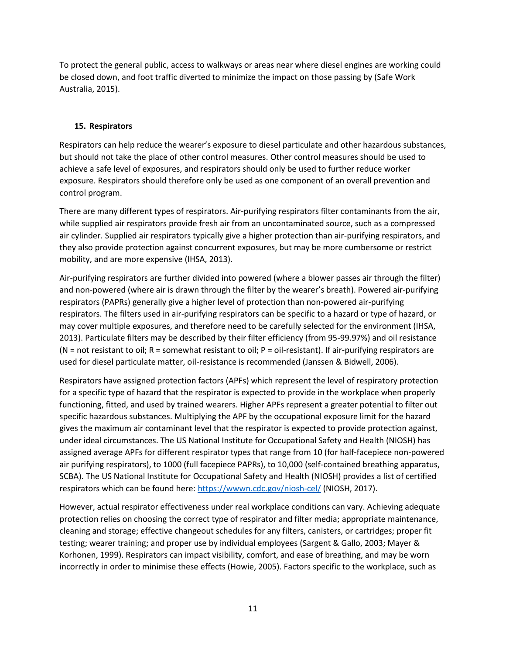To protect the general public, access to walkways or areas near where diesel engines are working could be closed down, and foot traffic diverted to minimize the impact on those passing by (Safe Work Australia, 2015).

### **15. Respirators**

Respirators can help reduce the wearer's exposure to diesel particulate and other hazardous substances, but should not take the place of other control measures. Other control measures should be used to achieve a safe level of exposures, and respirators should only be used to further reduce worker exposure. Respirators should therefore only be used as one component of an overall prevention and control program.

There are many different types of respirators. Air-purifying respirators filter contaminants from the air, while supplied air respirators provide fresh air from an uncontaminated source, such as a compressed air cylinder. Supplied air respirators typically give a higher protection than air-purifying respirators, and they also provide protection against concurrent exposures, but may be more cumbersome or restrict mobility, and are more expensive (IHSA, 2013).

Air-purifying respirators are further divided into powered (where a blower passes air through the filter) and non-powered (where air is drawn through the filter by the wearer's breath). Powered air-purifying respirators (PAPRs) generally give a higher level of protection than non-powered air-purifying respirators. The filters used in air-purifying respirators can be specific to a hazard or type of hazard, or may cover multiple exposures, and therefore need to be carefully selected for the environment (IHSA, 2013). Particulate filters may be described by their filter efficiency (from 95-99.97%) and oil resistance (N = not resistant to oil; R = somewhat resistant to oil; P = oil-resistant). If air-purifying respirators are used for diesel particulate matter, oil-resistance is recommended (Janssen & Bidwell, 2006).

Respirators have assigned protection factors (APFs) which represent the level of respiratory protection for a specific type of hazard that the respirator is expected to provide in the workplace when properly functioning, fitted, and used by trained wearers. Higher APFs represent a greater potential to filter out specific hazardous substances. Multiplying the APF by the occupational exposure limit for the hazard gives the maximum air contaminant level that the respirator is expected to provide protection against, under ideal circumstances. The US National Institute for Occupational Safety and Health (NIOSH) has assigned average APFs for different respirator types that range from 10 (for half-facepiece non-powered air purifying respirators), to 1000 (full facepiece PAPRs), to 10,000 (self-contained breathing apparatus, SCBA). The US National Institute for Occupational Safety and Health (NIOSH) provides a list of certified respirators which can be found here:<https://wwwn.cdc.gov/niosh-cel/> (NIOSH, 2017).

However, actual respirator effectiveness under real workplace conditions can vary. Achieving adequate protection relies on choosing the correct type of respirator and filter media; appropriate maintenance, cleaning and storage; effective changeout schedules for any filters, canisters, or cartridges; proper fit testing; wearer training; and proper use by individual employees (Sargent & Gallo, 2003; Mayer & Korhonen, 1999). Respirators can impact visibility, comfort, and ease of breathing, and may be worn incorrectly in order to minimise these effects (Howie, 2005). Factors specific to the workplace, such as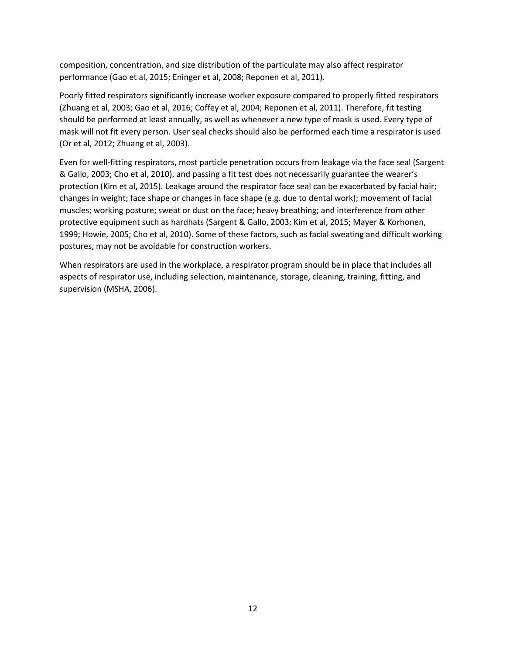composition, concentration, and size distribution of the particulate may also affect respirator performance (Gao et al, 2015; Eninger et al, 2008; Reponen et al, 2011).

Poorly fitted respirators significantly increase worker exposure compared to properly fitted respirators (Zhuang et al, 2003; Gao et al, 2016; Coffey et al, 2004; Reponen et al, 2011). Therefore, fit testing should be performed at least annually, as well as whenever a new type of mask is used. Every type of mask will not fit every person. User seal checks should also be performed each time a respirator is used (Or et al, 2012; Zhuang et al, 2003).

Even for well-fitting respirators, most particle penetration occurs from leakage via the face seal (Sargent & Gallo, 2003; Cho et al, 2010), and passing a fit test does not necessarily guarantee the wearer's protection (Kim et al, 2015). Leakage around the respirator face seal can be exacerbated by facial hair; changes in weight; face shape or changes in face shape (e.g. due to dental work); movement of facial muscles; working posture; sweat or dust on the face; heavy breathing; and interference from other protective equipment such as hardhats (Sargent & Gallo, 2003; Kim et al, 2015; Mayer & Korhonen, 1999; Howie, 2005; Cho et al, 2010). Some of these factors, such as facial sweating and difficult working postures, may not be avoidable for construction workers.

When respirators are used in the workplace, a respirator program should be in place that includes all aspects of respirator use, including selection, maintenance, storage, cleaning, training, fitting, and supervision (MSHA, 2006).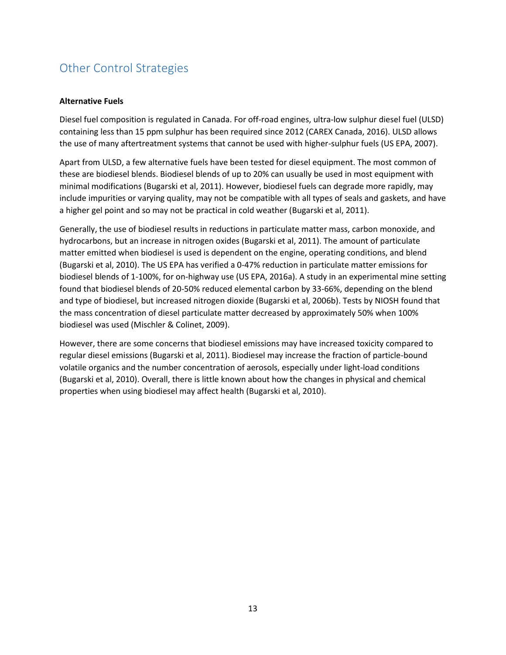# Other Control Strategies

#### **Alternative Fuels**

Diesel fuel composition is regulated in Canada. For off-road engines, ultra-low sulphur diesel fuel (ULSD) containing less than 15 ppm sulphur has been required since 2012 (CAREX Canada, 2016). ULSD allows the use of many aftertreatment systems that cannot be used with higher-sulphur fuels (US EPA, 2007).

Apart from ULSD, a few alternative fuels have been tested for diesel equipment. The most common of these are biodiesel blends. Biodiesel blends of up to 20% can usually be used in most equipment with minimal modifications (Bugarski et al, 2011). However, biodiesel fuels can degrade more rapidly, may include impurities or varying quality, may not be compatible with all types of seals and gaskets, and have a higher gel point and so may not be practical in cold weather (Bugarski et al, 2011).

Generally, the use of biodiesel results in reductions in particulate matter mass, carbon monoxide, and hydrocarbons, but an increase in nitrogen oxides (Bugarski et al, 2011). The amount of particulate matter emitted when biodiesel is used is dependent on the engine, operating conditions, and blend (Bugarski et al, 2010). The US EPA has verified a 0-47% reduction in particulate matter emissions for biodiesel blends of 1-100%, for on-highway use (US EPA, 2016a). A study in an experimental mine setting found that biodiesel blends of 20-50% reduced elemental carbon by 33-66%, depending on the blend and type of biodiesel, but increased nitrogen dioxide (Bugarski et al, 2006b). Tests by NIOSH found that the mass concentration of diesel particulate matter decreased by approximately 50% when 100% biodiesel was used (Mischler & Colinet, 2009).

However, there are some concerns that biodiesel emissions may have increased toxicity compared to regular diesel emissions (Bugarski et al, 2011). Biodiesel may increase the fraction of particle-bound volatile organics and the number concentration of aerosols, especially under light-load conditions (Bugarski et al, 2010). Overall, there is little known about how the changes in physical and chemical properties when using biodiesel may affect health (Bugarski et al, 2010).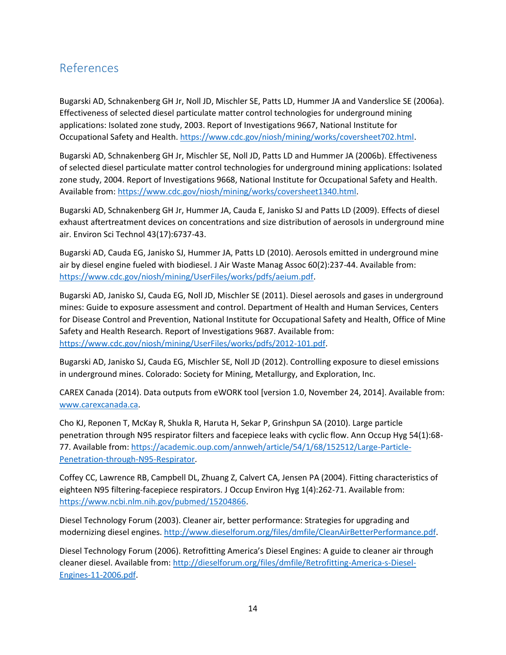# References

Bugarski AD, Schnakenberg GH Jr, Noll JD, Mischler SE, Patts LD, Hummer JA and Vanderslice SE (2006a). Effectiveness of selected diesel particulate matter control technologies for underground mining applications: Isolated zone study, 2003. Report of Investigations 9667, National Institute for Occupational Safety and Health. [https://www.cdc.gov/niosh/mining/works/coversheet702.html.](https://www.cdc.gov/niosh/mining/works/coversheet702.html)

Bugarski AD, Schnakenberg GH Jr, Mischler SE, Noll JD, Patts LD and Hummer JA (2006b). Effectiveness of selected diesel particulate matter control technologies for underground mining applications: Isolated zone study, 2004. Report of Investigations 9668, National Institute for Occupational Safety and Health. Available from[: https://www.cdc.gov/niosh/mining/works/coversheet1340.html.](https://www.cdc.gov/niosh/mining/works/coversheet1340.html)

Bugarski AD, Schnakenberg GH Jr, Hummer JA, Cauda E, Janisko SJ and Patts LD (2009). Effects of diesel exhaust aftertreatment devices on concentrations and size distribution of aerosols in underground mine air. Environ Sci Technol 43(17):6737-43.

Bugarski AD, Cauda EG, Janisko SJ, Hummer JA, Patts LD (2010). Aerosols emitted in underground mine air by diesel engine fueled with biodiesel. J Air Waste Manag Assoc 60(2):237-44. Available from: [https://www.cdc.gov/niosh/mining/UserFiles/works/pdfs/aeium.pdf.](https://www.cdc.gov/niosh/mining/UserFiles/works/pdfs/aeium.pdf)

Bugarski AD, Janisko SJ, Cauda EG, Noll JD, Mischler SE (2011). Diesel aerosols and gases in underground mines: Guide to exposure assessment and control. Department of Health and Human Services, Centers for Disease Control and Prevention, National Institute for Occupational Safety and Health, Office of Mine Safety and Health Research. Report of Investigations 9687. Available from: [https://www.cdc.gov/niosh/mining/UserFiles/works/pdfs/2012-101.pdf.](https://www.cdc.gov/niosh/mining/UserFiles/works/pdfs/2012-101.pdf)

Bugarski AD, Janisko SJ, Cauda EG, Mischler SE, Noll JD (2012). Controlling exposure to diesel emissions in underground mines. Colorado: Society for Mining, Metallurgy, and Exploration, Inc.

CAREX Canada (2014). Data outputs from eWORK tool [version 1.0, November 24, 2014]. Available from: [www.carexcanada.ca.](http://www.carexcanada.ca/)

Cho KJ, Reponen T, McKay R, Shukla R, Haruta H, Sekar P, Grinshpun SA (2010). Large particle penetration through N95 respirator filters and facepiece leaks with cyclic flow. Ann Occup Hyg 54(1):68- 77. Available from: [https://academic.oup.com/annweh/article/54/1/68/152512/Large-Particle-](https://academic.oup.com/annweh/article/54/1/68/152512/Large-Particle-Penetration-through-N95-Respirator)[Penetration-through-N95-Respirator.](https://academic.oup.com/annweh/article/54/1/68/152512/Large-Particle-Penetration-through-N95-Respirator)

Coffey CC, Lawrence RB, Campbell DL, Zhuang Z, Calvert CA, Jensen PA (2004). Fitting characteristics of eighteen N95 filtering-facepiece respirators. J Occup Environ Hyg 1(4):262-71. Available from: [https://www.ncbi.nlm.nih.gov/pubmed/15204866.](https://www.ncbi.nlm.nih.gov/pubmed/15204866)

Diesel Technology Forum (2003). Cleaner air, better performance: Strategies for upgrading and modernizing diesel engines[. http://www.dieselforum.org/files/dmfile/CleanAirBetterPerformance.pdf.](http://www.dieselforum.org/files/dmfile/CleanAirBetterPerformance.pdf)

Diesel Technology Forum (2006). Retrofitting America's Diesel Engines: A guide to cleaner air through cleaner diesel. Available from: [http://dieselforum.org/files/dmfile/Retrofitting-America-s-Diesel-](http://dieselforum.org/files/dmfile/Retrofitting-America-s-Diesel-Engines-11-2006.pdf)[Engines-11-2006.pdf.](http://dieselforum.org/files/dmfile/Retrofitting-America-s-Diesel-Engines-11-2006.pdf)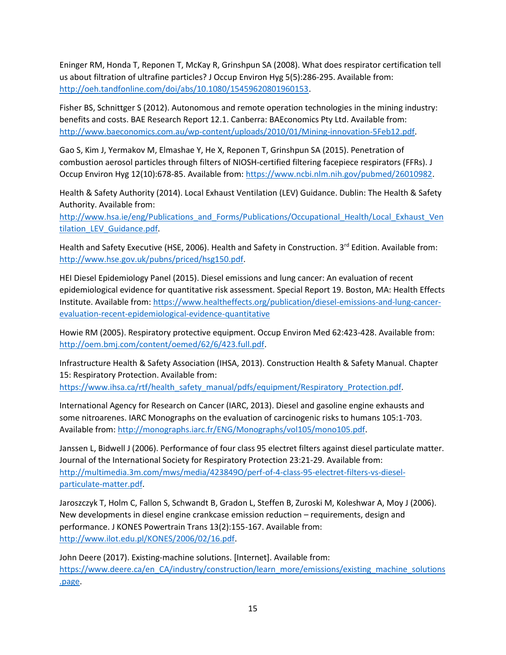Eninger RM, Honda T, Reponen T, McKay R, Grinshpun SA (2008). What does respirator certification tell us about filtration of ultrafine particles? J Occup Environ Hyg 5(5):286-295. Available from: [http://oeh.tandfonline.com/doi/abs/10.1080/15459620801960153.](http://oeh.tandfonline.com/doi/abs/10.1080/15459620801960153)

Fisher BS, Schnittger S (2012). Autonomous and remote operation technologies in the mining industry: benefits and costs. BAE Research Report 12.1. Canberra: BAEconomics Pty Ltd. Available from: [http://www.baeconomics.com.au/wp-content/uploads/2010/01/Mining-innovation-5Feb12.pdf.](http://www.baeconomics.com.au/wp-content/uploads/2010/01/Mining-innovation-5Feb12.pdf)

Gao S, Kim J, Yermakov M, Elmashae Y, He X, Reponen T, Grinshpun SA (2015). Penetration of combustion aerosol particles through filters of NIOSH-certified filtering facepiece respirators (FFRs). J Occup Environ Hyg 12(10):678-85. Available from[: https://www.ncbi.nlm.nih.gov/pubmed/26010982.](https://www.ncbi.nlm.nih.gov/pubmed/26010982)

Health & Safety Authority (2014). Local Exhaust Ventilation (LEV) Guidance. Dublin: The Health & Safety Authority. Available from:

[http://www.hsa.ie/eng/Publications\\_and\\_Forms/Publications/Occupational\\_Health/Local\\_Exhaust\\_Ven](http://www.hsa.ie/eng/Publications_and_Forms/Publications/Occupational_Health/Local_Exhaust_Ventilation_LEV_Guidance.pdf) [tilation\\_LEV\\_Guidance.pdf.](http://www.hsa.ie/eng/Publications_and_Forms/Publications/Occupational_Health/Local_Exhaust_Ventilation_LEV_Guidance.pdf)

Health and Safety Executive (HSE, 2006). Health and Safety in Construction. 3<sup>rd</sup> Edition. Available from: [http://www.hse.gov.uk/pubns/priced/hsg150.pdf.](http://www.hse.gov.uk/pubns/priced/hsg150.pdf)

HEI Diesel Epidemiology Panel (2015). Diesel emissions and lung cancer: An evaluation of recent epidemiological evidence for quantitative risk assessment. Special Report 19. Boston, MA: Health Effects Institute. Available from: [https://www.healtheffects.org/publication/diesel-emissions-and-lung-cancer](https://www.healtheffects.org/publication/diesel-emissions-and-lung-cancer-evaluation-recent-epidemiological-evidence-quantitative)[evaluation-recent-epidemiological-evidence-quantitative](https://www.healtheffects.org/publication/diesel-emissions-and-lung-cancer-evaluation-recent-epidemiological-evidence-quantitative)

Howie RM (2005). Respiratory protective equipment. Occup Environ Med 62:423-428. Available from: [http://oem.bmj.com/content/oemed/62/6/423.full.pdf.](http://oem.bmj.com/content/oemed/62/6/423.full.pdf)

Infrastructure Health & Safety Association (IHSA, 2013). Construction Health & Safety Manual. Chapter 15: Respiratory Protection. Available from: [https://www.ihsa.ca/rtf/health\\_safety\\_manual/pdfs/equipment/Respiratory\\_Protection.pdf.](https://www.ihsa.ca/rtf/health_safety_manual/pdfs/equipment/Respiratory_Protection.pdf)

International Agency for Research on Cancer (IARC, 2013). Diesel and gasoline engine exhausts and some nitroarenes. IARC Monographs on the evaluation of carcinogenic risks to humans 105:1-703. Available from[: http://monographs.iarc.fr/ENG/Monographs/vol105/mono105.pdf.](http://monographs.iarc.fr/ENG/Monographs/vol105/mono105.pdf)

Janssen L, Bidwell J (2006). Performance of four class 95 electret filters against diesel particulate matter. Journal of the International Society for Respiratory Protection 23:21-29. Available from: [http://multimedia.3m.com/mws/media/423849O/perf-of-4-class-95-electret-filters-vs-diesel](http://multimedia.3m.com/mws/media/423849O/perf-of-4-class-95-electret-filters-vs-diesel-particulate-matter.pdf)[particulate-matter.pdf.](http://multimedia.3m.com/mws/media/423849O/perf-of-4-class-95-electret-filters-vs-diesel-particulate-matter.pdf)

Jaroszczyk T, Holm C, Fallon S, Schwandt B, Gradon L, Steffen B, Zuroski M, Koleshwar A, Moy J (2006). New developments in diesel engine crankcase emission reduction – requirements, design and performance. J KONES Powertrain Trans 13(2):155-167. Available from: [http://www.ilot.edu.pl/KONES/2006/02/16.pdf.](http://www.ilot.edu.pl/KONES/2006/02/16.pdf)

John Deere (2017). Existing-machine solutions. [Internet]. Available from: [https://www.deere.ca/en\\_CA/industry/construction/learn\\_more/emissions/existing\\_machine\\_solutions](https://www.deere.ca/en_CA/industry/construction/learn_more/emissions/existing_machine_solutions.page) [.page.](https://www.deere.ca/en_CA/industry/construction/learn_more/emissions/existing_machine_solutions.page)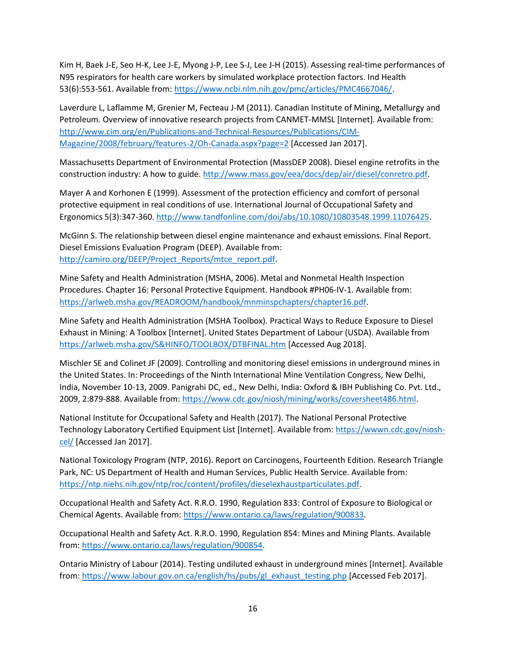Kim H, Baek J-E, Seo H-K, Lee J-E, Myong J-P, Lee S-J, Lee J-H (2015). Assessing real-time performances of N95 respirators for health care workers by simulated workplace protection factors. Ind Health 53(6):553-561. Available from: [https://www.ncbi.nlm.nih.gov/pmc/articles/PMC4667046/.](https://www.ncbi.nlm.nih.gov/pmc/articles/PMC4667046/)

Laverdure L, Laflamme M, Grenier M, Fecteau J-M (2011). Canadian Institute of Mining, Metallurgy and Petroleum. Overview of innovative research projects from CANMET-MMSL [Internet]*.* Available from: [http://www.cim.org/en/Publications-and-Technical-Resources/Publications/CIM-](http://www.cim.org/en/Publications-and-Technical-Resources/Publications/CIM-Magazine/2008/february/features-2/Oh-Canada.aspx?page=2)[Magazine/2008/february/features-2/Oh-Canada.aspx?page=2](http://www.cim.org/en/Publications-and-Technical-Resources/Publications/CIM-Magazine/2008/february/features-2/Oh-Canada.aspx?page=2) [Accessed Jan 2017].

Massachusetts Department of Environmental Protection (MassDEP 2008). Diesel engine retrofits in the construction industry: A how to guide[. http://www.mass.gov/eea/docs/dep/air/diesel/conretro.pdf.](http://www.mass.gov/eea/docs/dep/air/diesel/conretro.pdf)

Mayer A and Korhonen E (1999). Assessment of the protection efficiency and comfort of personal protective equipment in real conditions of use. International Journal of Occupational Safety and Ergonomics 5(3):347-360. [http://www.tandfonline.com/doi/abs/10.1080/10803548.1999.11076425.](http://www.tandfonline.com/doi/abs/10.1080/10803548.1999.11076425)

McGinn S. The relationship between diesel engine maintenance and exhaust emissions. Final Report. Diesel Emissions Evaluation Program (DEEP). Available from: [http://camiro.org/DEEP/Project\\_Reports/mtce\\_report.pdf.](http://camiro.org/DEEP/Project_Reports/mtce_report.pdf)

Mine Safety and Health Administration (MSHA, 2006). Metal and Nonmetal Health Inspection Procedures. Chapter 16: Personal Protective Equipment. Handbook #PH06-IV-1. Available from: [https://arlweb.msha.gov/READROOM/handbook/mnminspchapters/chapter16.pdf.](https://arlweb.msha.gov/READROOM/handbook/mnminspchapters/chapter16.pdf)

Mine Safety and Health Administration (MSHA Toolbox). Practical Ways to Reduce Exposure to Diesel Exhaust in Mining: A Toolbox [Internet]. United States Department of Labour (USDA). Available from <https://arlweb.msha.gov/S&HINFO/TOOLBOX/DTBFINAL.htm> [Accessed Aug 2018].

Mischler SE and Colinet JF (2009). Controlling and monitoring diesel emissions in underground mines in the United States. In: Proceedings of the Ninth International Mine Ventilation Congress, New Delhi, India, November 10-13, 2009. Panigrahi DC, ed., New Delhi, India: Oxford & IBH Publishing Co. Pvt. Ltd., 2009, 2:879-888. Available from[: https://www.cdc.gov/niosh/mining/works/coversheet486.html.](https://www.cdc.gov/niosh/mining/works/coversheet486.html)

National Institute for Occupational Safety and Health (2017). The National Personal Protective Technology Laboratory Certified Equipment List [Internet]. Available from: [https://wwwn.cdc.gov/niosh](https://wwwn.cdc.gov/niosh-cel/)[cel/](https://wwwn.cdc.gov/niosh-cel/) [Accessed Jan 2017].

National Toxicology Program (NTP, 2016). Report on Carcinogens, Fourteenth Edition. Research Triangle Park, NC: US Department of Health and Human Services, Public Health Service. Available from: [https://ntp.niehs.nih.gov/ntp/roc/content/profiles/dieselexhaustparticulates.pdf.](https://ntp.niehs.nih.gov/ntp/roc/content/profiles/dieselexhaustparticulates.pdf)

Occupational Health and Safety Act. R.R.O. 1990, Regulation 833: Control of Exposure to Biological or Chemical Agents. Available from: [https://www.ontario.ca/laws/regulation/900833.](https://www.ontario.ca/laws/regulation/900833)

Occupational Health and Safety Act. R.R.O. 1990, Regulation 854: Mines and Mining Plants. Available from: [https://www.ontario.ca/laws/regulation/900854.](https://www.ontario.ca/laws/regulation/900854)

Ontario Ministry of Labour (2014). Testing undiluted exhaust in underground mines [Internet]. Available from: [https://www.labour.gov.on.ca/english/hs/pubs/gl\\_exhaust\\_testing.php](https://www.labour.gov.on.ca/english/hs/pubs/gl_exhaust_testing.php) [Accessed Feb 2017].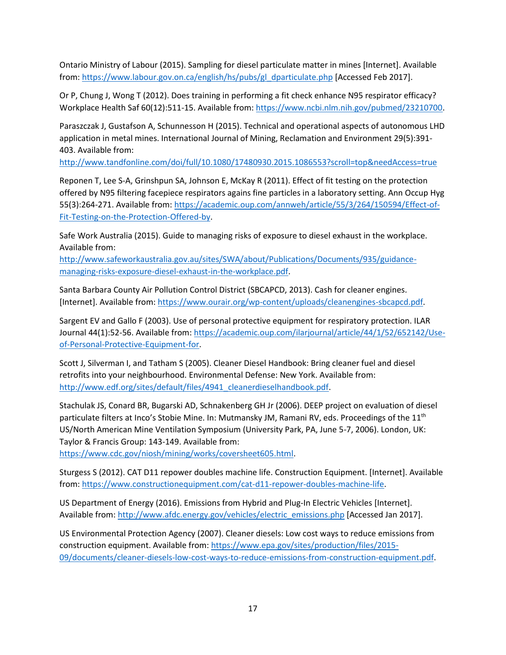Ontario Ministry of Labour (2015). Sampling for diesel particulate matter in mines [Internet]. Available from: [https://www.labour.gov.on.ca/english/hs/pubs/gl\\_dparticulate.php](https://www.labour.gov.on.ca/english/hs/pubs/gl_dparticulate.php) [Accessed Feb 2017].

Or P, Chung J, Wong T (2012). Does training in performing a fit check enhance N95 respirator efficacy? Workplace Health Saf 60(12):511-15. Available from[: https://www.ncbi.nlm.nih.gov/pubmed/23210700.](https://www.ncbi.nlm.nih.gov/pubmed/23210700)

Paraszczak J, Gustafson A, Schunnesson H (2015). Technical and operational aspects of autonomous LHD application in metal mines. International Journal of Mining, Reclamation and Environment 29(5):391- 403. Available from:

<http://www.tandfonline.com/doi/full/10.1080/17480930.2015.1086553?scroll=top&needAccess=true>

Reponen T, Lee S-A, Grinshpun SA, Johnson E, McKay R (2011). Effect of fit testing on the protection offered by N95 filtering facepiece respirators agains fine particles in a laboratory setting. Ann Occup Hyg 55(3):264-271. Available from: [https://academic.oup.com/annweh/article/55/3/264/150594/Effect-of-](https://academic.oup.com/annweh/article/55/3/264/150594/Effect-of-Fit-Testing-on-the-Protection-Offered-by)[Fit-Testing-on-the-Protection-Offered-by.](https://academic.oup.com/annweh/article/55/3/264/150594/Effect-of-Fit-Testing-on-the-Protection-Offered-by)

Safe Work Australia (2015). Guide to managing risks of exposure to diesel exhaust in the workplace. Available from:

[http://www.safeworkaustralia.gov.au/sites/SWA/about/Publications/Documents/935/guidance](http://www.safeworkaustralia.gov.au/sites/SWA/about/Publications/Documents/935/guidance-managing-risks-exposure-diesel-exhaust-in-the-workplace.pdf)[managing-risks-exposure-diesel-exhaust-in-the-workplace.pdf.](http://www.safeworkaustralia.gov.au/sites/SWA/about/Publications/Documents/935/guidance-managing-risks-exposure-diesel-exhaust-in-the-workplace.pdf)

Santa Barbara County Air Pollution Control District (SBCAPCD, 2013). Cash for cleaner engines. [Internet]. Available from: [https://www.ourair.org/wp-content/uploads/cleanengines-sbcapcd.pdf.](https://www.ourair.org/wp-content/uploads/cleanengines-sbcapcd.pdf)

Sargent EV and Gallo F (2003). Use of personal protective equipment for respiratory protection. ILAR Journal 44(1):52-56. Available from[: https://academic.oup.com/ilarjournal/article/44/1/52/652142/Use](https://academic.oup.com/ilarjournal/article/44/1/52/652142/Use-of-Personal-Protective-Equipment-for)[of-Personal-Protective-Equipment-for.](https://academic.oup.com/ilarjournal/article/44/1/52/652142/Use-of-Personal-Protective-Equipment-for)

Scott J, Silverman I, and Tatham S (2005). Cleaner Diesel Handbook: Bring cleaner fuel and diesel retrofits into your neighbourhood. Environmental Defense: New York. Available from: [http://www.edf.org/sites/default/files/4941\\_cleanerdieselhandbook.pdf.](http://www.edf.org/sites/default/files/4941_cleanerdieselhandbook.pdf)

Stachulak JS, Conard BR, Bugarski AD, Schnakenberg GH Jr (2006). DEEP project on evaluation of diesel particulate filters at Inco's Stobie Mine. In: Mutmansky JM, Ramani RV, eds. Proceedings of the 11<sup>th</sup> US/North American Mine Ventilation Symposium (University Park, PA, June 5-7, 2006). London, UK: Taylor & Francis Group: 143-149. Available from:

[https://www.cdc.gov/niosh/mining/works/coversheet605.html.](https://www.cdc.gov/niosh/mining/works/coversheet605.html)

Sturgess S (2012). CAT D11 repower doubles machine life. Construction Equipment. [Internet]. Available from: [https://www.constructionequipment.com/cat-d11-repower-doubles-machine-life.](https://www.constructionequipment.com/cat-d11-repower-doubles-machine-life)

US Department of Energy (2016). Emissions from Hybrid and Plug-In Electric Vehicles [Internet]. Available from[: http://www.afdc.energy.gov/vehicles/electric\\_emissions.php](http://www.afdc.energy.gov/vehicles/electric_emissions.php) [Accessed Jan 2017].

US Environmental Protection Agency (2007). Cleaner diesels: Low cost ways to reduce emissions from construction equipment. Available from[: https://www.epa.gov/sites/production/files/2015-](https://www.epa.gov/sites/production/files/2015-09/documents/cleaner-diesels-low-cost-ways-to-reduce-emissions-from-construction-equipment.pdf) [09/documents/cleaner-diesels-low-cost-ways-to-reduce-emissions-from-construction-equipment.pdf.](https://www.epa.gov/sites/production/files/2015-09/documents/cleaner-diesels-low-cost-ways-to-reduce-emissions-from-construction-equipment.pdf)